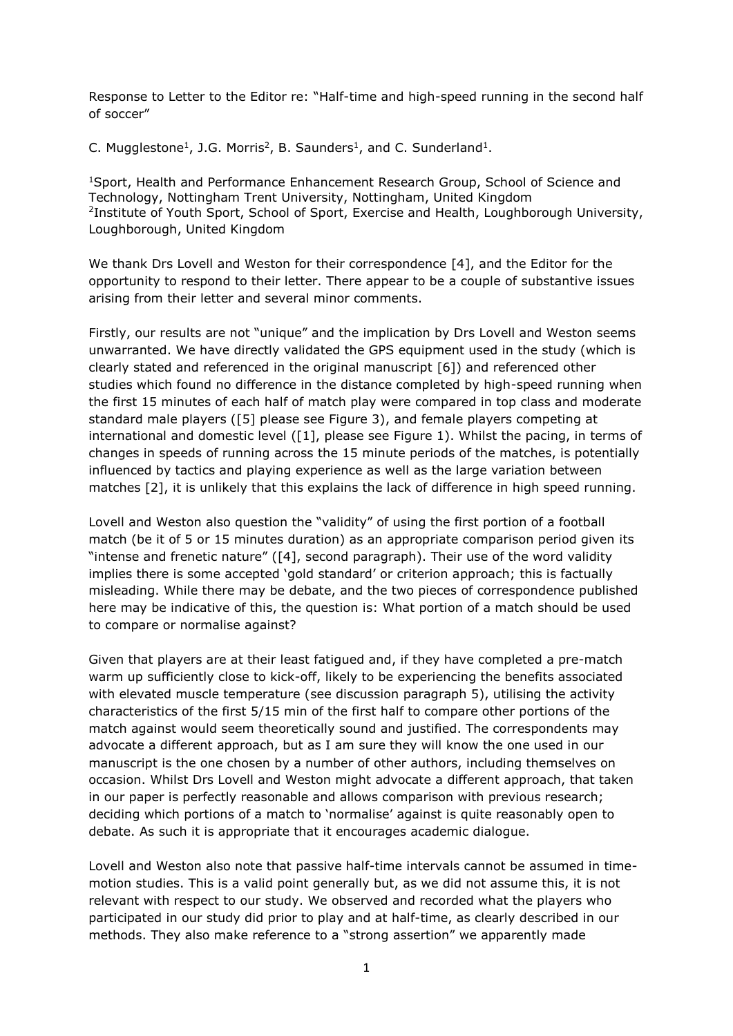Response to Letter to the Editor re: "Half-time and high-speed running in the second half of soccer"

C. Mugglestone<sup>1</sup>, J.G. Morris<sup>2</sup>, B. Saunders<sup>1</sup>, and C. Sunderland<sup>1</sup>.

<sup>1</sup>Sport, Health and Performance Enhancement Research Group, School of Science and Technology, Nottingham Trent University, Nottingham, United Kingdom 2 Institute of Youth Sport, School of Sport, Exercise and Health, Loughborough University, Loughborough, United Kingdom

We thank Drs Lovell and Weston for their correspondence [\[4\]](#page-2-0), and the Editor for the opportunity to respond to their letter. There appear to be a couple of substantive issues arising from their letter and several minor comments.

Firstly, our results are not "unique" and the implication by Drs Lovell and Weston seems unwarranted. We have directly validated the GPS equipment used in the study (which is clearly stated and referenced in the original manuscript [\[6\]](#page-2-1)) and referenced other studies which found no difference in the distance completed by high-speed running when the first 15 minutes of each half of match play were compared in top class and moderate standard male players ([\[5\]](#page-2-2) please see Figure 3), and female players competing at international and domestic level ([\[1\]](#page-2-3), please see Figure 1). Whilst the pacing, in terms of changes in speeds of running across the 15 minute periods of the matches, is potentially influenced by tactics and playing experience as well as the large variation between matches [\[2\]](#page-2-4), it is unlikely that this explains the lack of difference in high speed running.

Lovell and Weston also question the "validity" of using the first portion of a football match (be it of 5 or 15 minutes duration) as an appropriate comparison period given its "intense and frenetic nature" ([\[4\]](#page-2-0), second paragraph). Their use of the word validity implies there is some accepted 'gold standard' or criterion approach; this is factually misleading. While there may be debate, and the two pieces of correspondence published here may be indicative of this, the question is: What portion of a match should be used to compare or normalise against?

Given that players are at their least fatigued and, if they have completed a pre-match warm up sufficiently close to kick-off, likely to be experiencing the benefits associated with elevated muscle temperature (see discussion paragraph 5), utilising the activity characteristics of the first 5/15 min of the first half to compare other portions of the match against would seem theoretically sound and justified. The correspondents may advocate a different approach, but as I am sure they will know the one used in our manuscript is the one chosen by a number of other authors, including themselves on occasion. Whilst Drs Lovell and Weston might advocate a different approach, that taken in our paper is perfectly reasonable and allows comparison with previous research; deciding which portions of a match to 'normalise' against is quite reasonably open to debate. As such it is appropriate that it encourages academic dialogue.

Lovell and Weston also note that passive half-time intervals cannot be assumed in timemotion studies. This is a valid point generally but, as we did not assume this, it is not relevant with respect to our study. We observed and recorded what the players who participated in our study did prior to play and at half-time, as clearly described in our methods. They also make reference to a "strong assertion" we apparently made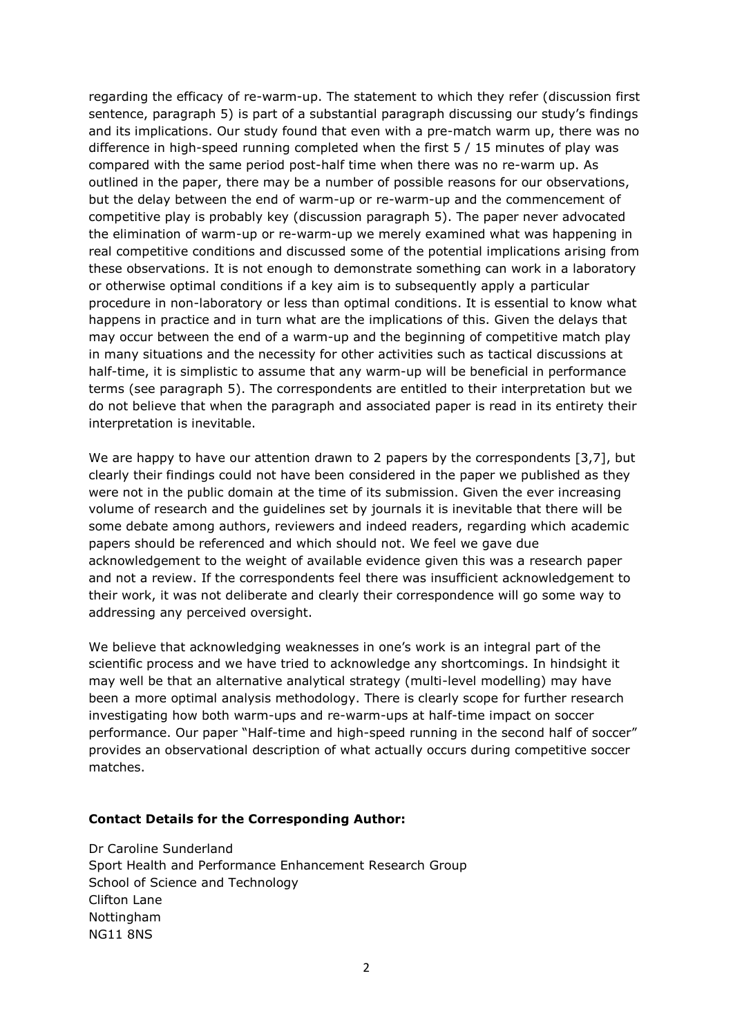regarding the efficacy of re-warm-up. The statement to which they refer (discussion first sentence, paragraph 5) is part of a substantial paragraph discussing our study's findings and its implications. Our study found that even with a pre-match warm up, there was no difference in high-speed running completed when the first 5 / 15 minutes of play was compared with the same period post-half time when there was no re-warm up. As outlined in the paper, there may be a number of possible reasons for our observations, but the delay between the end of warm-up or re-warm-up and the commencement of competitive play is probably key (discussion paragraph 5). The paper never advocated the elimination of warm-up or re-warm-up we merely examined what was happening in real competitive conditions and discussed some of the potential implications arising from these observations. It is not enough to demonstrate something can work in a laboratory or otherwise optimal conditions if a key aim is to subsequently apply a particular procedure in non-laboratory or less than optimal conditions. It is essential to know what happens in practice and in turn what are the implications of this. Given the delays that may occur between the end of a warm-up and the beginning of competitive match play in many situations and the necessity for other activities such as tactical discussions at half-time, it is simplistic to assume that any warm-up will be beneficial in performance terms (see paragraph 5). The correspondents are entitled to their interpretation but we do not believe that when the paragraph and associated paper is read in its entirety their interpretation is inevitable.

We are happy to have our attention drawn to 2 papers by the correspondents [\[3](#page-2-5)[,7\]](#page-2-6), but clearly their findings could not have been considered in the paper we published as they were not in the public domain at the time of its submission. Given the ever increasing volume of research and the guidelines set by journals it is inevitable that there will be some debate among authors, reviewers and indeed readers, regarding which academic papers should be referenced and which should not. We feel we gave due acknowledgement to the weight of available evidence given this was a research paper and not a review. If the correspondents feel there was insufficient acknowledgement to their work, it was not deliberate and clearly their correspondence will go some way to addressing any perceived oversight.

We believe that acknowledging weaknesses in one's work is an integral part of the scientific process and we have tried to acknowledge any shortcomings. In hindsight it may well be that an alternative analytical strategy (multi-level modelling) may have been a more optimal analysis methodology. There is clearly scope for further research investigating how both warm-ups and re-warm-ups at half-time impact on soccer performance. Our paper "Half-time and high-speed running in the second half of soccer" provides an observational description of what actually occurs during competitive soccer matches.

## **Contact Details for the Corresponding Author:**

Dr Caroline Sunderland Sport Health and Performance Enhancement Research Group School of Science and Technology Clifton Lane Nottingham NG11 8NS